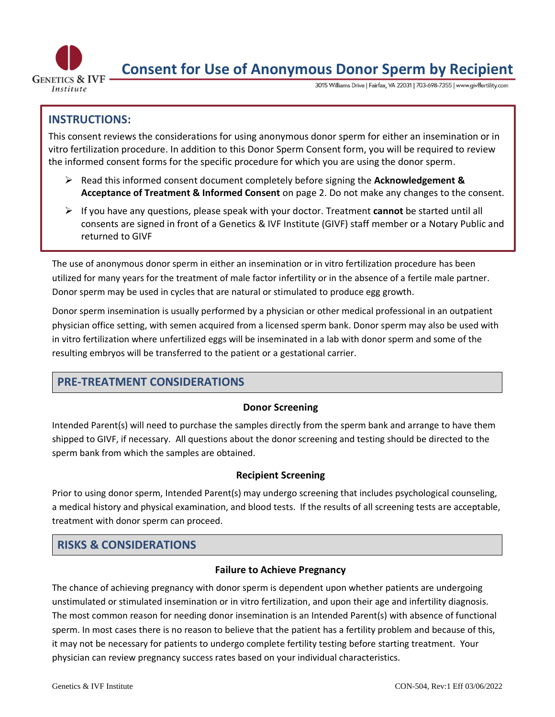

# **Consent for Use of Anonymous Donor Sperm by Recipient**

3015 Williams Drive | Fairfax, VA 22031 | 703-698-7355 | www.givffertility.com

# **INSTRUCTIONS:**

This consent reviews the considerations for using anonymous donor sperm for either an insemination or in vitro fertilization procedure. In addition to this Donor Sperm Consent form, you will be required to review the informed consent forms for the specific procedure for which you are using the donor sperm.

- ➢ Read this informed consent document completely before signing the **Acknowledgement & Acceptance of Treatment & Informed Consent** on page 2. Do not make any changes to the consent.
- ➢ If you have any questions, please speak with your doctor. Treatment **cannot** be started until all consents are signed in front of a Genetics & IVF Institute (GIVF) staff member or a Notary Public and returned to GIVF

The use of anonymous donor sperm in either an insemination or in vitro fertilization procedure has been utilized for many years for the treatment of male factor infertility or in the absence of a fertile male partner. Donor sperm may be used in cycles that are natural or stimulated to produce egg growth.

Donor sperm insemination is usually performed by a physician or other medical professional in an outpatient physician office setting, with semen acquired from a licensed sperm bank. Donor sperm may also be used with in vitro fertilization where unfertilized eggs will be inseminated in a lab with donor sperm and some of the resulting embryos will be transferred to the patient or a gestational carrier.

## **PRE-TREATMENT CONSIDERATIONS**

### **Donor Screening**

Intended Parent(s) will need to purchase the samples directly from the sperm bank and arrange to have them shipped to GIVF, if necessary. All questions about the donor screening and testing should be directed to the sperm bank from which the samples are obtained.

### **Recipient Screening**

Prior to using donor sperm, Intended Parent(s) may undergo screening that includes psychological counseling, a medical history and physical examination, and blood tests. If the results of all screening tests are acceptable, treatment with donor sperm can proceed.

## **RISKS & CONSIDERATIONS**

### **Failure to Achieve Pregnancy**

The chance of achieving pregnancy with donor sperm is dependent upon whether patients are undergoing unstimulated or stimulated insemination or in vitro fertilization, and upon their age and infertility diagnosis. The most common reason for needing donor insemination is an Intended Parent(s) with absence of functional sperm. In most cases there is no reason to believe that the patient has a fertility problem and because of this, it may not be necessary for patients to undergo complete fertility testing before starting treatment. Your physician can review pregnancy success rates based on your individual characteristics.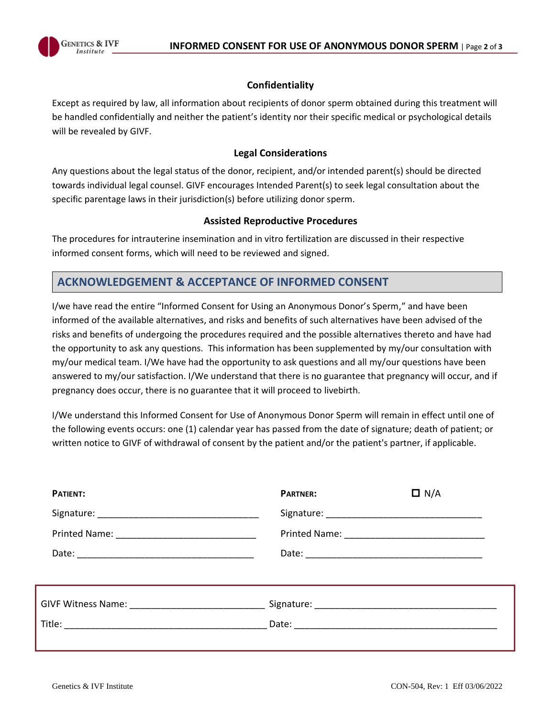

#### **Confidentiality**

Except as required by law, all information about recipients of donor sperm obtained during this treatment will be handled confidentially and neither the patient's identity nor their specific medical or psychological details will be revealed by GIVF.

#### **Legal Considerations**

Any questions about the legal status of the donor, recipient, and/or intended parent(s) should be directed towards individual legal counsel. GIVF encourages Intended Parent(s) to seek legal consultation about the specific parentage laws in their jurisdiction(s) before utilizing donor sperm.

#### **Assisted Reproductive Procedures**

The procedures for intrauterine insemination and in vitro fertilization are discussed in their respective informed consent forms, which will need to be reviewed and signed.

## **ACKNOWLEDGEMENT & ACCEPTANCE OF INFORMED CONSENT**

I/we have read the entire "Informed Consent for Using an Anonymous Donor's Sperm," and have been informed of the available alternatives, and risks and benefits of such alternatives have been advised of the risks and benefits of undergoing the procedures required and the possible alternatives thereto and have had the opportunity to ask any questions. This information has been supplemented by my/our consultation with my/our medical team. I/We have had the opportunity to ask questions and all my/our questions have been answered to my/our satisfaction. I/We understand that there is no guarantee that pregnancy will occur, and if pregnancy does occur, there is no guarantee that it will proceed to livebirth.

I/We understand this Informed Consent for Use of Anonymous Donor Sperm will remain in effect until one of the following events occurs: one (1) calendar year has passed from the date of signature; death of patient; or written notice to GIVF of withdrawal of consent by the patient and/or the patient's partner, if applicable.

| PATIENT:                                                                         | <b>PARTNER:</b> | $\Box$ N/A |  |  |
|----------------------------------------------------------------------------------|-----------------|------------|--|--|
|                                                                                  |                 |            |  |  |
|                                                                                  |                 |            |  |  |
|                                                                                  |                 |            |  |  |
| ,我们也不会有什么。""我们的人,我们也不会有什么?""我们的人,我们也不会有什么?""我们的人,我们也不会有什么?""我们的人,我们也不会有什么?""我们的人 |                 |            |  |  |
|                                                                                  |                 |            |  |  |
|                                                                                  |                 |            |  |  |
|                                                                                  |                 |            |  |  |